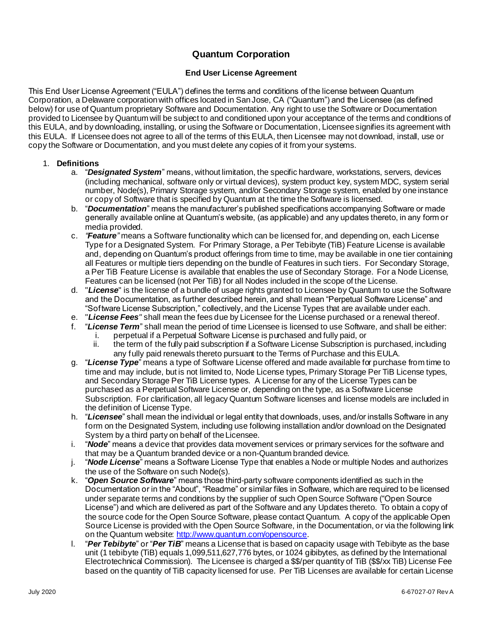# **Quantum Corporation**

# **End User License Agreement**

This End User License Agreement ("EULA") defines the terms and conditions of the license between Quantum Corporation, a Delaware corporation with offices located in San Jose, CA ("Quantum") and the Licensee (as defined below) for use of Quantum proprietary Software and Documentation. Any right to use the Software or Documentation provided to Licensee by Quantum will be subject to and conditioned upon your acceptance of the terms and conditions of this EULA, and by downloading, installing, or using the Software or Documentation, Licensee signifies its agreement with this EULA. If Licensee does not agree to all of the terms of this EULA, then Licensee may not download, install, use or copy the Software or Documentation, and you must delete any copies of it from your systems.

# 1. **Definitions**

- a. "*Designated System*" means, without limitation, the specific hardware, workstations, servers, devices (including mechanical, software only or virtual devices), system product key, system MDC, system serial number, Node(s), Primary Storage system, and/or Secondary Storage system, enabled by one instance or copy of Software that is specified by Quantum at the time the Software is licensed.
- b. "*Documentation*" means the manufacturer's published specifications accompanying Software or made generally available online at Quantum's website, (as applicable) and any updates thereto, in any form or media provided.
- c. *"Feature"* means a Software functionality which can be licensed for, and depending on, each License Type for a Designated System. For Primary Storage, a Per Tebibyte (TiB) Feature License is available and, depending on Quantum's product offerings from time to time, may be available in one tier containing all Features or multiple tiers depending on the bundle of Features in such tiers. For Secondary Storage, a Per TiB Feature License is available that enables the use of Secondary Storage. For a Node License, Features can be licensed (not Per TiB) for all Nodes included in the scope of the License.
- d. "*License*" is the license of a bundle of usage rights granted to Licensee by Quantum to use the Software and the Documentation, as further described herein, and shall mean "Perpetual Software License" and "Software License Subscription," collectively, and the License Types that are available under each.
- e. "*License Fees"* shall mean the fees due by Licensee for the License purchased or a renewal thereof.
- f. "*License Term*" shall mean the period of time Licensee is licensed to use Software, and shall be either: i. perpetual if a Perpetual Software License is purchased and fully paid, or
	- ii. the term of the fully paid subscription if a Software License Subscription is purchased, including any fully paid renewals thereto pursuant to the Terms of Purchase and this EULA.
- g. "*License Type*" means a type of Software License offered and made available for purchase from time to time and may include, but is not limited to, Node License types, Primary Storage Per TiB License types, and Secondary Storage Per TiB License types. A License for any of the License Types can be purchased as a Perpetual Software License or, depending on the type, as a Software License Subscription. For clarification, all legacy Quantum Software licenses and license models are included in the definition of License Type.
- h. "*Licensee*" shall mean the individual or legal entity that downloads, uses, and/or installs Software in any form on the Designated System, including use following installation and/or download on the Designated System by a third party on behalf of the Licensee.
- i. "*Node*" means a device that provides data movement services or primary services for the software and that may be a Quantum branded device or a non-Quantum branded device.
- j. "*Node License*" means a Software License Type that enables a Node or multiple Nodes and authorizes the use of the Software on such Node(s).
- k. "*Open Source Software*" means those third-party software components identified as such in the Documentation or in the "About", "Readme" or similar files in Software, which are required to be licensed under separate terms and conditions by the supplier of such Open Source Software ("Open Source License") and which are delivered as part of the Software and any Updates thereto. To obtain a copy of the source code for the Open Source Software, please contact Quantum. A copy of the applicable Open Source License is provided with the Open Source Software, in the Documentation, or via the following link on the Quantum website[: http://www.quantum.com/opensource](http://www.quantum.com/opensource).
- l. "*Per Tebibyte*" or "*Per TiB*" means a License that is based on capacity usage with Tebibyte as the base unit (1 tebibyte (TiB) equals 1,099,511,627,776 bytes, or 1024 gibibytes, as defined by the International Electrotechnical Commission). The Licensee is charged a \$\$/per quantity of TiB (\$\$/xx TiB) License Fee based on the quantity of TiB capacity licensed for use. Per TiB Licenses are available for certain License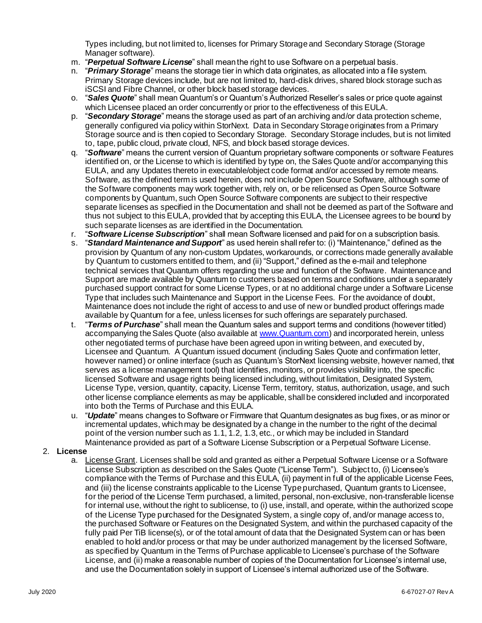Types including, but not limited to, licenses for Primary Storage and Secondary Storage (Storage Manager software).

- m. "*Perpetual Software License*" shall mean the right to use Software on a perpetual basis.
- n. "*Primary Storage*" means the storage tier in which data originates, as allocated into a file system. Primary Storage devices include, but are not limited to, hard-disk drives, shared block storage such as iSCSI and Fibre Channel, or other block based storage devices.
- o. "*Sales Quote*" shall mean Quantum's or Quantum's Authorized Reseller's sales or price quote against which Licensee placed an order concurrently or prior to the effectiveness of this EULA.
- p. "*Secondary Storage*" means the storage used as part of an archiving and/or data protection scheme, generally configured via policy within StorNext. Data in Secondary Storage originates from a Primary Storage source and is then copied to Secondary Storage. Secondary Storage includes, but is not limited to, tape, public cloud, private cloud, NFS, and block based storage devices.
- q. "*Software*" means the current version of Quantum proprietary software components or software Features identified on, or the License to which is identified by type on, the Sales Quote and/or accompanying this EULA, and any Updates thereto in executable/object code format and/or accessed by remote means. Software, as the defined term is used herein, does not include Open Source Software, although some of the Software components may work together with, rely on, or be relicensed as Open Source Software components by Quantum, such Open Source Software components are subject to their respective separate licenses as specified in the Documentation and shall not be deemed as part of the Software and thus not subject to this EULA, provided that by accepting this EULA, the Licensee agrees to be bound by such separate licenses as are identified in the Documentation.
- r. "*Software License Subscription*" shall mean Software licensed and paid for on a subscription basis.
- s. "*Standard Maintenance and Support*" as used herein shall refer to: (i) "Maintenance," defined as the provision by Quantum of any non-custom Updates, workarounds, or corrections made generally available by Quantum to customers entitled to them, and (ii) "Support," defined as the e-mail and telephone technical services that Quantum offers regarding the use and function of the Software. Maintenance and Support are made available by Quantum to customers based on terms and conditions under a separately purchased support contract for some License Types, or at no additional charge under a Software License Type that includes such Maintenance and Support in the License Fees. For the avoidance of doubt, Maintenance does not include the right of access to and use of new or bundled product offerings made available by Quantum for a fee, unless licenses for such offerings are separately purchased.
- t. "*Terms of Purchase*" shall mean the Quantum sales and support terms and conditions (however titled) accompanying the Sales Quote (also available at www. Quantum.com) and incorporated herein, unless other negotiated terms of purchase have been agreed upon in writing between, and executed by, Licensee and Quantum. A Quantum issued document (including Sales Quote and confirmation letter, however named) or online interface (such as Quantum's StorNext licensing website, however named, that serves as a license management tool) that identifies, monitors, or provides visibility into, the specific licensed Software and usage rights being licensed including, without limitation, Designated System, License Type, version, quantity, capacity, License Term, territory, status, authorization, usage, and such other license compliance elements as may be applicable, shall be considered included and incorporated into both the Terms of Purchase and this EULA.
- u. "*Update*" means changes to Software or Firmware that Quantum designates as bug fixes, or as minor or incremental updates, which may be designated by a change in the number to the right of the decimal point of the version number such as 1.1, 1.2, 1.3, etc., or which may be included in Standard Maintenance provided as part of a Software License Subscription or a Perpetual Software License.

# 2. **License**

a. License Grant. Licenses shall be sold and granted as either a Perpetual Software License or a Software License Subscription as described on the Sales Quote ("License Term"). Subject to, (i) Licensee's compliance with the Terms of Purchase and this EULA, (ii) payment in full of the applicable License Fees, and (iii) the license constraints applicable to the License Type purchased, Quantum grants to Licensee, for the period of the License Term purchased, a limited, personal, non-exclusive, non-transferable license for internal use, without the right to sublicense, to (i) use, install, and operate, within the authorized scope of the License Type purchased for the Designated System, a single copy of, and/or manage access to, the purchased Software or Features on the Designated System, and within the purchased capacity of the fully paid Per TiB license(s), or of the total amount of data that the Designated System can or has been enabled to hold and/or process or that may be under authorized management by the licensed Software, as specified by Quantum in the Terms of Purchase applicable to Licensee's purchase of the Software License, and (ii) make a reasonable number of copies of the Documentation for Licensee's internal use, and use the Documentation solely in support of Licensee's internal authorized use of the Software.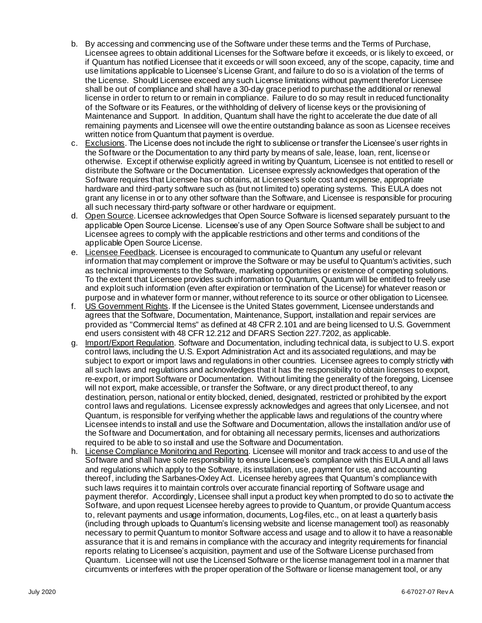- b. By accessing and commencing use of the Software under these terms and the Terms of Purchase, Licensee agrees to obtain additional Licenses for the Software before it exceeds, or is likely to exceed, or if Quantum has notified Licensee that it exceeds or will soon exceed, any of the scope, capacity, time and use limitations applicable to Licensee's License Grant, and failure to do so is a violation of the terms of the License. Should Licensee exceed any such License limitations without payment therefor Licensee shall be out of compliance and shall have a 30-day grace period to purchase the additional or renewal license in order to return to or remain in compliance. Failure to do so may result in reduced functionality of the Software or its Features, or the withholding of delivery of license keys or the provisioning of Maintenance and Support. In addition, Quantum shall have the right to accelerate the due date of all remaining payments and Licensee will owe the entire outstanding balance as soon as Licensee receives written notice from Quantum that payment is overdue.
- c. Exclusions. The License does not include the right to sublicense or transfer the Licensee's user rights in the Software or the Documentation to any third party by means of sale, lease, loan, rent, license or otherwise. Except if otherwise explicitly agreed in writing by Quantum, Licensee is not entitled to resell or distribute the Software or the Documentation. Licensee expressly acknowledges that operation of the Software requires that Licensee has or obtains, at Licensee's sole cost and expense, appropriate hardware and third-party software such as (but not limited to) operating systems. This EULA does not grant any license in or to any other software than the Software, and Licensee is responsible for procuring all such necessary third-party software or other hardware or equipment.
- d. Open Source. Licensee acknowledges that Open Source Software is licensed separately pursuant to the applicable Open Source License. Licensee's use of any Open Source Software shall be subject to and Licensee agrees to comply with the applicable restrictions and other terms and conditions of the applicable Open Source License.
- e. Licensee Feedback. Licensee is encouraged to communicate to Quantum any useful or relevant information that may complement or improve the Software or may be useful to Quantum's activities, such as technical improvements to the Software, marketing opportunities or existence of competing solutions. To the extent that Licensee provides such information to Quantum, Quantum will be entitled to freely use and exploit such information (even after expiration or termination of the License) for whatever reason or purpose and in whatever form or manner, without reference to its source or other obligation to Licensee.
- f. US Government Rights. If the Licensee is the United States government, Licensee understands and agrees that the Software, Documentation, Maintenance, Support, installation and repair services are provided as "Commercial Items" as defined at 48 CFR 2.101 and are being licensed to U.S. Government end users consistent with 48 CFR 12.212 and DFARS Section 227.7202, as applicable.
- g. Import/Export Regulation. Software and Documentation, including technical data, is subject to U.S. export control laws, including the U.S. Export Administration Act and its associated regulations, and may be subject to export or import laws and regulations in other countries. Licensee agrees to comply strictly with all such laws and regulations and acknowledges that it has the responsibility to obtain licenses to export, re-export, or import Software or Documentation. Without limiting the generality of the foregoing, Licensee will not export, make accessible, or transfer the Software, or any direct product thereof, to any destination, person, national or entity blocked, denied, designated, restricted or prohibited by the export control laws and regulations. Licensee expressly acknowledges and agrees that only Licensee, and not Quantum, is responsible for verifying whether the applicable laws and regulations of the country where Licensee intends to install and use the Software and Documentation, allows the installation and/or use of the Software and Documentation, and for obtaining all necessary permits, licenses and authorizations required to be able to so install and use the Software and Documentation.
- h. License Compliance Monitoring and Reporting. Licensee will monitor and track access to and use of the Software and shall have sole responsibility to ensure Licensee's compliance with this EULA and all laws and regulations which apply to the Software, its installation, use, payment for use, and accounting thereof, including the Sarbanes-Oxley Act. Licensee hereby agrees that Quantum's compliancewith such laws requires it to maintain controls over accurate financial reporting of Software usage and payment therefor. Accordingly, Licensee shall input a product key when prompted to do so to activate the Software, and upon request Licensee hereby agrees to provide to Quantum, or provide Quantum access to, relevant payments and usage information, documents, Log-files, etc., on at least a quarterly basis (including through uploads to Quantum's licensing website and license management tool) as reasonably necessary to permit Quantum to monitor Software access and usage and to allow it to have a reasonable assurance that it is and remains in compliance with the accuracy and integrity requirements for financial reports relating to Licensee's acquisition, payment and use of the Software License purchased from Quantum. Licensee will not use the Licensed Software or the license management tool in a manner that circumvents or interferes with the proper operation of the Software or license management tool, or any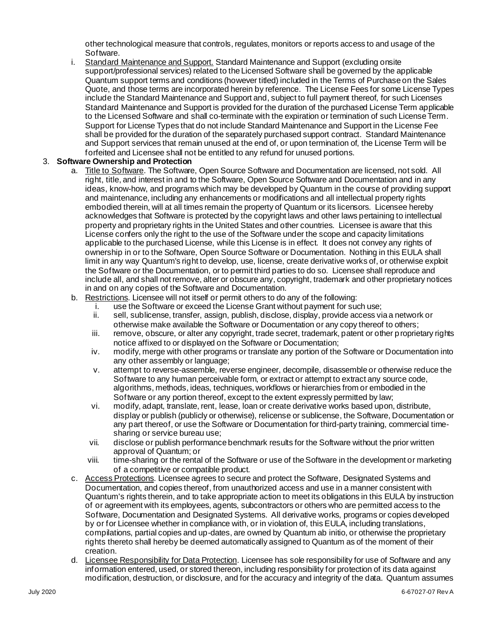other technological measure that controls, regulates, monitors or reports access to and usage of the Software.

i. Standard Maintenance and Support. Standard Maintenance and Support (excluding onsite support/professional services) related to the Licensed Software shall be governed by the applicable Quantum support terms and conditions (however titled) included in the Terms of Purchase on the Sales Quote, and those terms are incorporated herein by reference. The License Fees for some License Types include the Standard Maintenance and Support and, subject to full payment thereof, for such Licenses Standard Maintenance and Support is provided for the duration of the purchased License Term applicable to the Licensed Software and shall co-terminate with the expiration or termination of such License Term. Support for License Types that do not include Standard Maintenance and Support in the License Fee shall be provided for the duration of the separately purchased support contract. Standard Maintenance and Support services that remain unused at the end of, or upon termination of, the License Term will be forfeited and Licensee shall not be entitled to any refund for unused portions.

#### 3. **Software Ownership and Protection**

- a. Title to Software. The Software, Open Source Software and Documentation are licensed, not sold. All right, title, and interest in and to the Software, Open Source Software and Documentation and in any ideas, know-how, and programs which may be developed by Quantum in the course of providing support and maintenance, including any enhancements or modifications and all intellectual property rights embodied therein, will at all times remain the property of Quantum or its licensors. Licensee hereby acknowledges that Software is protected by the copyright laws and other laws pertaining to intellectual property and proprietary rights in the United States and other countries. Licensee is aware that this License confers only the right to the use of the Software under the scope and capacity limitations applicable to the purchased License, while this License is in effect. It does not convey any rights of ownership in or to the Software, Open Source Software or Documentation. Nothing in this EULA shall limit in any way Quantum's right to develop, use, license, create derivative works of, or otherwise exploit the Software or the Documentation, or to permit third parties to do so. Licensee shall reproduce and include all, and shall not remove, alter or obscure any, copyright, trademark and other proprietary notices in and on any copies of the Software and Documentation.
- b. Restrictions. Licensee will not itself or permit others to do any of the following:
	- i. use the Software or exceed the License Grant without payment for such use;
	- ii. sell, sublicense, transfer, assign, publish, disclose, display, provide access via a network or otherwise make available the Software or Documentation or any copy thereof to others;
	- iii. remove, obscure, or alter any copyright, trade secret, trademark, patent or other proprietary rights notice affixed to or displayed on the Software or Documentation;
	- iv. modify, merge with other programs or translate any portion of the Software or Documentation into any other assembly or language;
	- v. attempt to reverse-assemble, reverse engineer, decompile, disassemble or otherwise reduce the Software to any human perceivable form, or extract or attempt to extract any source code, algorithms, methods, ideas, techniques, workflows or hierarchies from or embodied in the Software or any portion thereof, except to the extent expressly permitted by law;
	- vi. modify, adapt, translate, rent, lease, loan or create derivative works based upon, distribute, display or publish (publicly or otherwise), relicense or sublicense, the Software, Documentation or any part thereof, or use the Software or Documentation for third-party training, commercial timesharing or service bureau use;
	- vii. disclose or publish performance benchmark results for the Software without the prior written approval of Quantum; or
	- viii. time-sharing or the rental of the Software or use of the Software in the development or marketing of a competitive or compatible product.
- c. Access Protections. Licensee agrees to secure and protect the Software, Designated Systems and Documentation, and copies thereof, from unauthorized access and use in a manner consistent with Quantum's rights therein, and to take appropriate action to meet its obligations in this EULA by instruction of or agreement with its employees, agents, subcontractors or others who are permitted access to the Software, Documentation and Designated Systems. All derivative works, programs or copies developed by or for Licensee whether in compliance with, or in violation of, this EULA, including translations, compilations, partial copies and up-dates, are owned by Quantum ab initio, or otherwise the proprietary rights thereto shall hereby be deemed automatically assigned to Quantum as of the moment of their creation.
- d. Licensee Responsibility for Data Protection. Licensee has sole responsibility for use of Software and any information entered, used, or stored thereon, including responsibility for protection of its data against modification, destruction, or disclosure, and for the accuracy and integrity of the data. Quantum assumes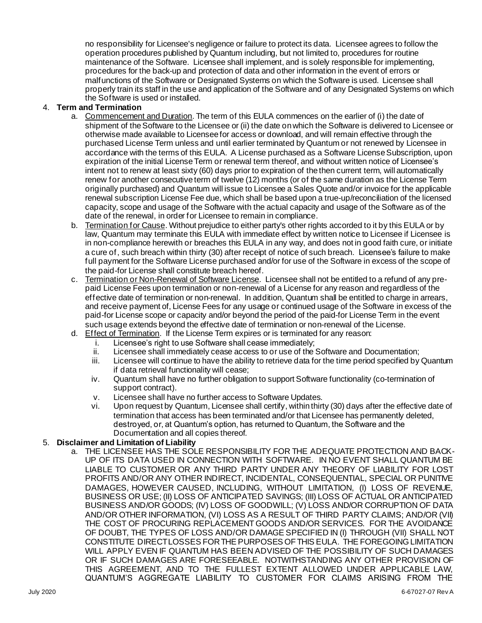no responsibility for Licensee's negligence or failure to protect its data. Licensee agrees to follow the operation procedures published by Quantum including, but not limited to, procedures for routine maintenance of the Software. Licensee shall implement, and is solely responsible for implementing, procedures for the back-up and protection of data and other information in the event of errors or malfunctions of the Software or Designated Systems on which the Software is used. Licensee shall properly train its staff in the use and application of the Software and of any Designated Systems on which the Software is used or installed.

# 4. **Term and Termination**

- a. Commencement and Duration. The term of this EULA commences on the earlier of (i) the date of shipment of the Software to the Licensee or (ii) the date on which the Software is delivered to Licensee or otherwise made available to Licensee for access or download, and will remain effective through the purchased License Term unless and until earlier terminated by Quantum or not renewed by Licensee in accordance with the terms of this EULA. A License purchased as a Software License Subscription, upon expiration of the initial License Term or renewal term thereof, and without written notice of Licensee's intent not to renew at least sixty (60) days prior to expiration of the then current term, will automatically renew for another consecutive term of twelve (12) months (or of the same duration as the License Term originally purchased) and Quantum will issue to Licensee a Sales Quote and/or invoice for the applicable renewal subscription License Fee due, which shall be based upon a true-up/reconciliation of the licensed capacity, scope and usage of the Software with the actual capacity and usage of the Software as of the date of the renewal, in order for Licensee to remain in compliance.
- b. Termination for Cause. Without prejudice to either party's other rights accorded to it by this EULA or by law, Quantum may terminate this EULA with immediate effect by written notice to Licensee if Licensee is in non-compliance herewith or breaches this EULA in any way, and does not in good faith cure, or initiate a cure of, such breach within thirty (30) after receipt of notice of such breach. Licensee's failure to make full payment for the Software License purchased and/or for use of the Software in excess of the scope of the paid-for License shall constitute breach hereof.
- c. Termination or Non-Renewal of Software License. Licensee shall not be entitled to a refund of any prepaid License Fees upon termination or non-renewal of a License for any reason and regardless of the effective date of termination or non-renewal. In addition, Quantum shall be entitled to charge in arrears, and receive payment of, License Fees for any usage or continued usage of the Software in excess of the paid-for License scope or capacity and/or beyond the period of the paid-for License Term in the event such usage extends beyond the effective date of termination or non-renewal of the License.
- d. Effect of Termination. If the License Term expires or is terminated for any reason:
	- i. Licensee's right to use Software shall cease immediately;
	- ii. Licensee shall immediately cease access to or use of the Software and Documentation;
	- iii. Licensee will continue to have the ability to retrieve data for the time period specified by Quantum if data retrieval functionality will cease;
	- iv. Quantum shall have no further obligation to support Software functionality (co-termination of support contract).
	- v. Licensee shall have no further access to Software Updates.
	- vi. Upon request by Quantum, Licensee shall certify, within thirty (30) days after the effective date of termination that access has been terminated and/or that Licensee has permanently deleted, destroyed, or, at Quantum's option, has returned to Quantum, the Software and the Documentation and all copies thereof.

# 5. **Disclaimer and Limitation of Liability**

a. THE LICENSEE HAS THE SOLE RESPONSIBILITY FOR THE ADEQUATE PROTECTION AND BACK-UP OF ITS DATA USED IN CONNECTION WITH SOFTWARE. IN NO EVENT SHALL QUANTUM BE LIABLE TO CUSTOMER OR ANY THIRD PARTY UNDER ANY THEORY OF LIABILITY FOR LOST PROFITS AND/OR ANY OTHER INDIRECT, INCIDENTAL, CONSEQUENTIAL, SPECIAL OR PUNITIVE DAMAGES, HOWEVER CAUSED, INCLUDING, WITHOUT LIMITATION, (I) LOSS OF REVENUE, BUSINESS OR USE; (II) LOSS OF ANTICIPATED SAVINGS; (III) LOSS OF ACTUAL OR ANTICIPATED BUSINESS AND/OR GOODS; (IV) LOSS OF GOODWILL; (V) LOSS AND/OR CORRUPTION OF DATA AND/OR OTHER INFORMATION, (VI) LOSS AS A RESULT OF THIRD PARTY CLAIMS; AND/OR (VII) THE COST OF PROCURING REPLACEMENT GOODS AND/OR SERVICES. FOR THE AVOIDANCE OF DOUBT, THE TYPES OF LOSS AND/OR DAMAGE SPECIFIED IN (I) THROUGH (VII) SHALL NOT CONSTITUTE DIRECT LOSSES FOR THE PURPOSES OF THIS EULA. THE FOREGOING LIMITATION WILL APPLY EVEN IF QUANTUM HAS BEEN ADVISED OF THE POSSIBILITY OF SUCH DAMAGES OR IF SUCH DAMAGES ARE FORESEEABLE. NOTWITHSTANDING ANY OTHER PROVISION OF THIS AGREEMENT, AND TO THE FULLEST EXTENT ALLOWED UNDER APPLICABLE LAW, QUANTUM'S AGGREGATE LIABILITY TO CUSTOMER FOR CLAIMS ARISING FROM THE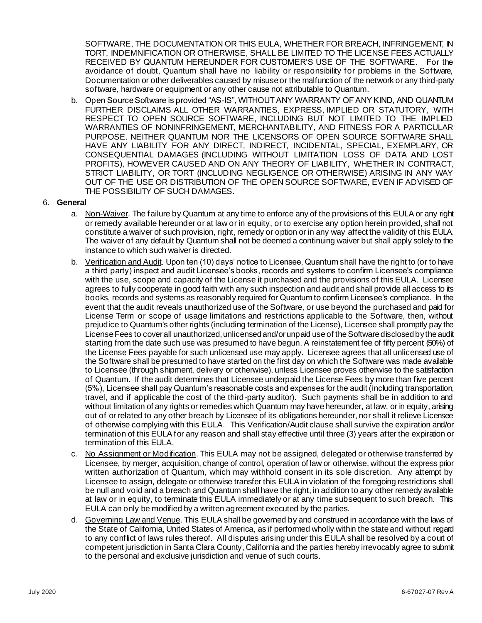SOFTWARE, THE DOCUMENTATION OR THIS EULA, WHETHER FOR BREACH, INFRINGEMENT, IN TORT, INDEMNIFICATION OR OTHERWISE, SHALL BE LIMITED TO THE LICENSE FEES ACTUALLY RECEIVED BY QUANTUM HEREUNDER FOR CUSTOMER'S USE OF THE SOFTWARE. For the avoidance of doubt, Quantum shall have no liability or responsibility for problems in the Software, Documentation or other deliverables caused by misuse or the malfunction of the network or any third-party software, hardware or equipment or any other cause not attributable to Quantum.

b. Open Source Software is provided "AS-IS", WITHOUT ANY WARRANTY OF ANY KIND, AND QUANTUM FURTHER DISCLAIMS ALL OTHER WARRANTIES, EXPRESS, IMPLIED OR STATUTORY, WITH RESPECT TO OPEN SOURCE SOFTWARE, INCLUDING BUT NOT LIMITED TO THE IMPLIED WARRANTIES OF NONINFRINGEMENT, MERCHANTABILITY, AND FITNESS FOR A PARTICULAR PURPOSE. NEITHER QUANTUM NOR THE LICENSORS OF OPEN SOURCE SOFTWARE SHALL HAVE ANY LIABILITY FOR ANY DIRECT, INDIRECT, INCIDENTAL, SPECIAL, EXEMPLARY, OR CONSEQUENTIAL DAMAGES (INCLUDING WITHOUT LIMITATION LOSS OF DATA AND LOST PROFITS), HOWEVER CAUSED AND ON ANY THEORY OF LIABILITY, WHETHER IN CONTRACT, STRICT LIABILITY, OR TORT (INCLUDING NEGLIGENCE OR OTHERWISE) ARISING IN ANY WAY OUT OF THE USE OR DISTRIBUTION OF THE OPEN SOURCE SOFTWARE, EVEN IF ADVISED OF THE POSSIBILITY OF SUCH DAMAGES.

#### 6. **General**

- a. Non-Waiver. The failure by Quantum at any time to enforce any of the provisions of this EULA or any right or remedy available hereunder or at law or in equity, or to exercise any option herein provided, shall not constitute a waiver of such provision, right, remedy or option or in any way affect the validity of this EULA. The waiver of any default by Quantum shall not be deemed a continuing waiver but shall apply solely to the instance to which such waiver is directed.
- b. Verification and Audit. Upon ten (10) days' notice to Licensee, Quantum shall have the right to (or to have a third party) inspect and audit Licensee's books, records and systems to confirm Licensee's compliance with the use, scope and capacity of the License it purchased and the provisions of this EULA. Licensee agrees to fully cooperate in good faith with any such inspection and audit and shall provide all access to its books, records and systems as reasonably required for Quantum to confirm Licensee's compliance. In the event that the audit reveals unauthorized use of the Software, or use beyond the purchased and paid for License Term or scope of usage limitations and restrictions applicable to the Software, then, without prejudice to Quantum's other rights (including termination of the License), Licensee shall promptly pay the License Fees to cover all unauthorized, unlicensed and/or unpaid use of the Software disclosed by the audit starting from the date such use was presumed to have begun. A reinstatement fee of fifty percent (50%) of the License Fees payable for such unlicensed use may apply. Licensee agrees that all unlicensed use of the Software shall be presumed to have started on the first day on which the Software was made available to Licensee (through shipment, delivery or otherwise), unless Licensee proves otherwise to the satisfaction of Quantum. If the audit determines that Licensee underpaid the License Fees by more than five percent (5%), Licensee shall pay Quantum's reasonable costs and expenses for the audit (including transportation, travel, and if applicable the cost of the third-party auditor). Such payments shall be in addition to and without limitation of any rights or remedies which Quantum may have hereunder, at law, or in equity, arising out of or related to any other breach by Licensee of its obligations hereunder, nor shall it relieve Licensee of otherwise complying with this EULA. This Verification/Audit clause shall survive the expiration and/or termination of this EULA for any reason and shall stay effective until three (3) years after the expiration or termination of this EULA.
- c. No Assignment or Modification. This EULA may not be assigned, delegated or otherwise transferred by Licensee, by merger, acquisition, change of control, operation of law or otherwise, without the express prior written authorization of Quantum, which may withhold consent in its sole discretion. Any attempt by Licensee to assign, delegate or otherwise transfer this EULA in violation of the foregoing restrictions shall be null and void and a breach and Quantum shall have the right, in addition to any other remedy available at law or in equity, to terminate this EULA immediately or at any time subsequent to such breach. This EULA can only be modified by a written agreement executed by the parties.
- d. Governing Law and Venue. This EULA shall be governed by and construed in accordance with the laws of the State of California, United States of America, as if performed wholly within the state and without regard to any conflict of laws rules thereof. All disputes arising under this EULA shall be resolved by a court of competent jurisdiction in Santa Clara County, California and the parties hereby irrevocably agree to submit to the personal and exclusive jurisdiction and venue of such courts.